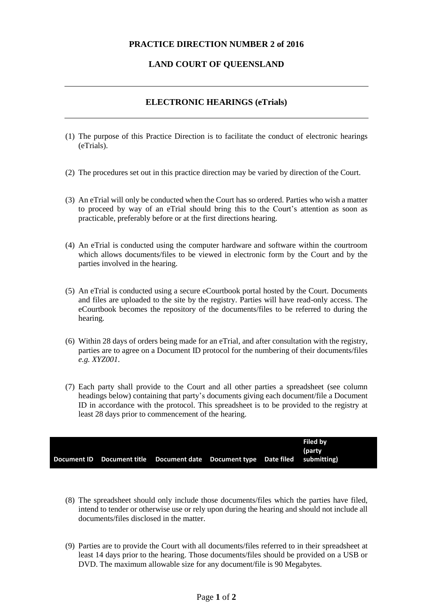## **PRACTICE DIRECTION NUMBER 2 of 2016**

## **LAND COURT OF QUEENSLAND**

## **ELECTRONIC HEARINGS (eTrials)**

- (1) The purpose of this Practice Direction is to facilitate the conduct of electronic hearings (eTrials).
- (2) The procedures set out in this practice direction may be varied by direction of the Court.
- (3) An eTrial will only be conducted when the Court has so ordered. Parties who wish a matter to proceed by way of an eTrial should bring this to the Court's attention as soon as practicable, preferably before or at the first directions hearing.
- (4) An eTrial is conducted using the computer hardware and software within the courtroom which allows documents/files to be viewed in electronic form by the Court and by the parties involved in the hearing.
- (5) An eTrial is conducted using a secure eCourtbook portal hosted by the Court. Documents and files are uploaded to the site by the registry. Parties will have read-only access. The eCourtbook becomes the repository of the documents/files to be referred to during the hearing.
- (6) Within 28 days of orders being made for an eTrial, and after consultation with the registry, parties are to agree on a Document ID protocol for the numbering of their documents/files *e.g. XYZ001*.
- (7) Each party shall provide to the Court and all other parties a spreadsheet (see column headings below) containing that party's documents giving each document/file a Document ID in accordance with the protocol. This spreadsheet is to be provided to the registry at least 28 days prior to commencement of the hearing.

|  |                                                                               |  | Filed by<br>(party |
|--|-------------------------------------------------------------------------------|--|--------------------|
|  | Document ID Document title Document date Document type Date filed submitting) |  |                    |

- (8) The spreadsheet should only include those documents/files which the parties have filed, intend to tender or otherwise use or rely upon during the hearing and should not include all documents/files disclosed in the matter.
- (9) Parties are to provide the Court with all documents/files referred to in their spreadsheet at least 14 days prior to the hearing. Those documents/files should be provided on a USB or DVD. The maximum allowable size for any document/file is 90 Megabytes.